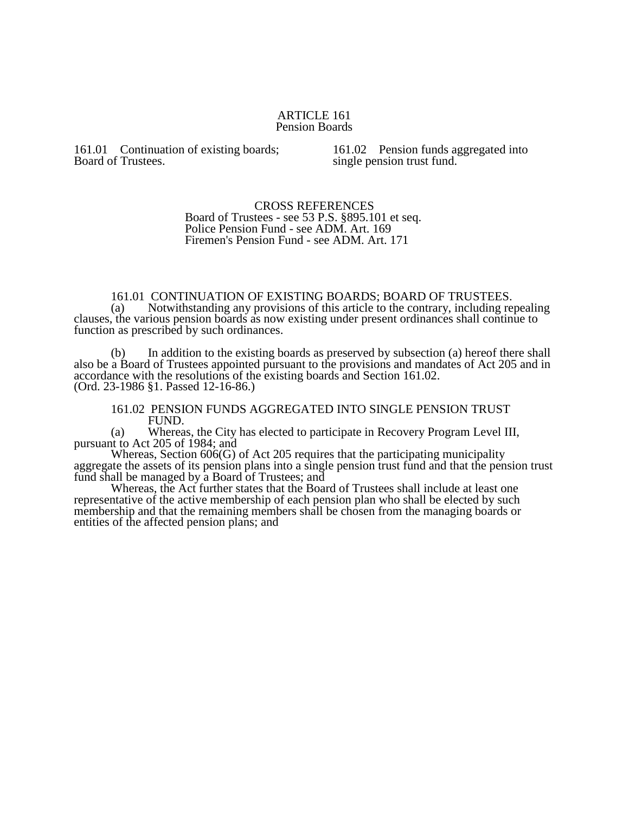## ARTICLE 161 Pension Boards

161.01 Continuation of existing boards; Board of Trustees.

161.02 Pension funds aggregated into single pension trust fund.

## CROSS REFERENCES Board of Trustees - see 53 P.S. §895.101 et seq. Police Pension Fund - see ADM. Art. 169 Firemen's Pension Fund - see ADM. Art. 171

## 161.01 CONTINUATION OF EXISTING BOARDS; BOARD OF TRUSTEES.<br>(a) Notwithstanding any provisions of this article to the contrary, including re

Notwithstanding any provisions of this article to the contrary, including repealing clauses, the various pension boards as now existing under present ordinances shall continue to function as prescribed by such ordinances.

(b) In addition to the existing boards as preserved by subsection (a) hereof there shall also be a Board of Trustees appointed pursuant to the provisions and mandates of Act 205 and in accordance with the resolutions of the existing boards and Section 161.02. (Ord. 23-1986 §1. Passed 12-16-86.)

161.02 PENSION FUNDS AGGREGATED INTO SINGLE PENSION TRUST FUND.

(a) Whereas, the City has elected to participate in Recovery Program Level III, pursuant to Act 205 of 1984; and

Whereas, Section  $606(G)$  of Act 205 requires that the participating municipality aggregate the assets of its pension plans into a single pension trust fund and that the pension trust fund shall be managed by a Board of Trustees; and

Whereas, the Act further states that the Board of Trustees shall include at least one representative of the active membership of each pension plan who shall be elected by such membership and that the remaining members shall be chosen from the managing boards or entities of the affected pension plans; and